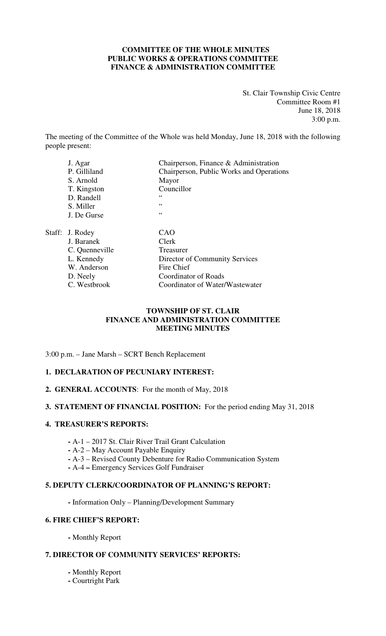# **COMMITTEE OF THE WHOLE MINUTES PUBLIC WORKS & OPERATIONS COMMITTEE FINANCE & ADMINISTRATION COMMITTEE**

St. Clair Township Civic Centre Committee Room #1 June 18, 2018 3:00 p.m.

The meeting of the Committee of the Whole was held Monday, June 18, 2018 with the following people present:

| J. Agar         | Chairperson, Finance & Administration    |
|-----------------|------------------------------------------|
| P. Gilliland    | Chairperson, Public Works and Operations |
| S. Arnold       | Mayor                                    |
| T. Kingston     | Councillor                               |
| D. Randell      | 66                                       |
| S. Miller       | 66                                       |
| J. De Gurse     | 66                                       |
| Staff: J. Rodey | CAO                                      |
| J. Baranek      | Clerk                                    |
| C. Quenneville  | Treasurer                                |
| L. Kennedy      | Director of Community Services           |
| W. Anderson     | Fire Chief                               |
| D. Neely        | <b>Coordinator of Roads</b>              |
| C. Westbrook    | Coordinator of Water/Wastewater          |

# **TOWNSHIP OF ST. CLAIR FINANCE AND ADMINISTRATION COMMITTEE MEETING MINUTES**

3:00 p.m. – Jane Marsh – SCRT Bench Replacement

# **1. DECLARATION OF PECUNIARY INTEREST:**

**2. GENERAL ACCOUNTS**: For the month of May, 2018

#### **3. STATEMENT OF FINANCIAL POSITION:** For the period ending May 31, 2018

#### **4. TREASURER'S REPORTS:**

- **-** A-1 2017 St. Clair River Trail Grant Calculation
- **-** A-2 May Account Payable Enquiry
- **-** A-3 Revised County Debenture for Radio Communication System
- A-4 **–** Emergency Services Golf Fundraiser

#### **5. DEPUTY CLERK/COORDINATOR OF PLANNING'S REPORT:**

**-** Information Only – Planning/Development Summary

# **6. FIRE CHIEF'S REPORT:**

 **-** Monthly Report

# **7. DIRECTOR OF COMMUNITY SERVICES' REPORTS:**

- **-** Monthly Report
- **-** Courtright Park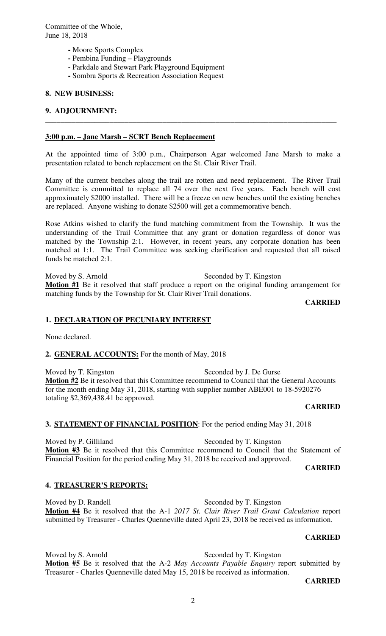- **-** Moore Sports Complex
- **-** Pembina Funding Playgrounds
- Parkdale and Stewart Park Playground Equipment
- **-** Sombra Sports & Recreation Association Request

#### **8. NEW BUSINESS:**

#### **9. ADJOURNMENT:**

#### **3:00 p.m. – Jane Marsh – SCRT Bench Replacement**

At the appointed time of 3:00 p.m., Chairperson Agar welcomed Jane Marsh to make a presentation related to bench replacement on the St. Clair River Trail.

**\_\_\_\_\_\_\_\_\_\_\_\_\_\_\_\_\_\_\_\_\_\_\_\_\_\_\_\_\_\_\_\_\_\_\_\_\_\_\_\_\_\_\_\_\_\_\_\_\_\_\_\_\_\_\_\_\_\_\_\_\_\_\_\_\_\_\_\_\_\_\_\_\_\_\_\_\_** 

Many of the current benches along the trail are rotten and need replacement. The River Trail Committee is committed to replace all 74 over the next five years. Each bench will cost approximately \$2000 installed. There will be a freeze on new benches until the existing benches are replaced. Anyone wishing to donate \$2500 will get a commemorative bench.

Rose Atkins wished to clarify the fund matching commitment from the Township. It was the understanding of the Trail Committee that any grant or donation regardless of donor was matched by the Township 2:1. However, in recent years, any corporate donation has been matched at 1:1. The Trail Committee was seeking clarification and requested that all raised funds be matched 2:1.

Moved by S. Arnold Seconded by T. Kingston **Motion #1** Be it resolved that staff produce a report on the original funding arrangement for matching funds by the Township for St. Clair River Trail donations.

**CARRIED** 

#### **1. DECLARATION OF PECUNIARY INTEREST**

None declared.

**2. GENERAL ACCOUNTS:** For the month of May, 2018

Moved by T. Kingston Seconded by J. De Gurse Motion #2 Be it resolved that this Committee recommend to Council that the General Accounts for the month ending May 31, 2018, starting with supplier number ABE001 to 18-5920276 totaling \$2,369,438.41 be approved.

#### **CARRIED**

# **3. STATEMENT OF FINANCIAL POSITION**: For the period ending May 31, 2018

Moved by P. Gilliland Seconded by T. Kingston **Motion #3** Be it resolved that this Committee recommend to Council that the Statement of Financial Position for the period ending May 31, 2018 be received and approved.

**CARRIED** 

#### **4. TREASURER'S REPORTS:**

Moved by D. Randell Seconded by T. Kingston **Motion #4** Be it resolved that the A-1 *2017 St. Clair River Trail Grant Calculation* report submitted by Treasurer - Charles Quenneville dated April 23, 2018 be received as information.

#### **CARRIED**

Moved by S. Arnold Seconded by T. Kingston **Motion #5** Be it resolved that the A-2 *May Accounts Payable Enquiry* report submitted by Treasurer - Charles Quenneville dated May 15, 2018 be received as information.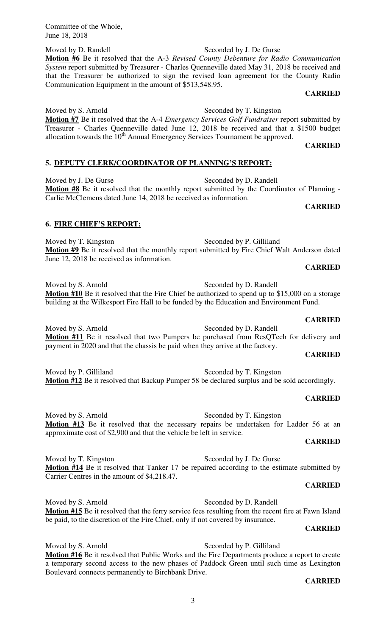Moved by D. Randell Seconded by J. De Gurse **Motion #6** Be it resolved that the A-3 *Revised County Debenture for Radio Communication System* report submitted by Treasurer - Charles Quenneville dated May 31, 2018 be received and that the Treasurer be authorized to sign the revised loan agreement for the County Radio Communication Equipment in the amount of \$513,548.95.

# **CARRIED**

Moved by S. Arnold Seconded by T. Kingston **Motion #7** Be it resolved that the A-4 *Emergency Services Golf Fundraiser* report submitted by Treasurer - Charles Quenneville dated June 12, 2018 be received and that a \$1500 budget allocation towards the  $10<sup>th</sup>$  Annual Emergency Services Tournament be approved.

# **CARRIED**

**5. DEPUTY CLERK/COORDINATOR OF PLANNING'S REPORT:** 

Moved by J. De Gurse Seconded by D. Randell **Motion #8** Be it resolved that the monthly report submitted by the Coordinator of Planning - Carlie McClemens dated June 14, 2018 be received as information.

#### **CARRIED**

# **6. FIRE CHIEF'S REPORT:**

Moved by T. Kingston Seconded by P. Gilliland **Motion #9** Be it resolved that the monthly report submitted by Fire Chief Walt Anderson dated June 12, 2018 be received as information.

**CARRIED** 

Moved by S. Arnold Seconded by D. Randell **Motion #10** Be it resolved that the Fire Chief be authorized to spend up to \$15,000 on a storage building at the Wilkesport Fire Hall to be funded by the Education and Environment Fund.

**CARRIED**  Moved by S. Arnold Seconded by D. Randell **Motion #11** Be it resolved that two Pumpers be purchased from ResQTech for delivery and payment in 2020 and that the chassis be paid when they arrive at the factory.

#### **CARRIED**

Moved by P. Gilliland Seconded by T. Kingston **Motion #12** Be it resolved that Backup Pumper 58 be declared surplus and be sold accordingly.

# **CARRIED**

Moved by S. Arnold Seconded by T. Kingston **Motion #13** Be it resolved that the necessary repairs be undertaken for Ladder 56 at an approximate cost of \$2,900 and that the vehicle be left in service.

#### **CARRIED**

Moved by T. Kingston Seconded by J. De Gurse **Motion #14** Be it resolved that Tanker 17 be repaired according to the estimate submitted by Carrier Centres in the amount of \$4,218.47.

#### **CARRIED**

Moved by S. Arnold Seconded by D. Randell **Motion #15** Be it resolved that the ferry service fees resulting from the recent fire at Fawn Island be paid, to the discretion of the Fire Chief, only if not covered by insurance.

# **CARRIED**

Moved by S. Arnold Seconded by P. Gilliland **Motion #16** Be it resolved that Public Works and the Fire Departments produce a report to create a temporary second access to the new phases of Paddock Green until such time as Lexington Boulevard connects permanently to Birchbank Drive.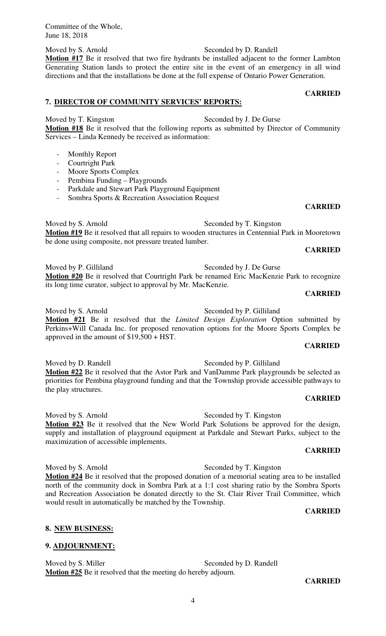Moved by S. Arnold Seconded by D. Randell **Motion #17** Be it resolved that two fire hydrants be installed adjacent to the former Lambton Generating Station lands to protect the entire site in the event of an emergency in all wind directions and that the installations be done at the full expense of Ontario Power Generation.

# **7. DIRECTOR OF COMMUNITY SERVICES' REPORTS:**

Moved by T. Kingston Seconded by J. De Gurse **Motion #18** Be it resolved that the following reports as submitted by Director of Community Services – Linda Kennedy be received as information:

- Monthly Report
- Courtright Park
- Moore Sports Complex
- Pembina Funding Playgrounds
- Parkdale and Stewart Park Playground Equipment
- Sombra Sports & Recreation Association Request

Moved by S. Arnold Seconded by T. Kingston **Motion #19** Be it resolved that all repairs to wooden structures in Centennial Park in Mooretown be done using composite, not pressure treated lumber.

#### **CARRIED**

**CARRIED** 

Moved by P. Gilliland Seconded by J. De Gurse **Motion #20** Be it resolved that Courtright Park be renamed Eric MacKenzie Park to recognize its long time curator, subject to approval by Mr. MacKenzie.

# **CARRIED**

Moved by S. Arnold Seconded by P. Gilliland

**Motion #21** Be it resolved that the *Limited Design Exploration* Option submitted by Perkins+Will Canada Inc. for proposed renovation options for the Moore Sports Complex be approved in the amount of \$19,500 + HST.

Moved by D. Randell Seconded by P. Gilliland **Motion #22** Be it resolved that the Astor Park and VanDamme Park playgrounds be selected as priorities for Pembina playground funding and that the Township provide accessible pathways to the play structures.

#### **CARRIED**

Moved by S. Arnold Seconded by T. Kingston **Motion #23** Be it resolved that the New World Park Solutions be approved for the design, supply and installation of playground equipment at Parkdale and Stewart Parks, subject to the maximization of accessible implements.

# **CARRIED**

Moved by S. Arnold Seconded by T. Kingston

**Motion #24** Be it resolved that the proposed donation of a memorial seating area to be installed north of the community dock in Sombra Park at a 1:1 cost sharing ratio by the Sombra Sports and Recreation Association be donated directly to the St. Clair River Trail Committee, which would result in automatically be matched by the Township.

# **CARRIED**

**CARRIED** 

# **8. NEW BUSINESS:**

# **9. ADJOURNMENT:**

Moved by S. Miller Seconded by D. Randell **Motion #25** Be it resolved that the meeting do hereby adjourn.

#### **CARRIED**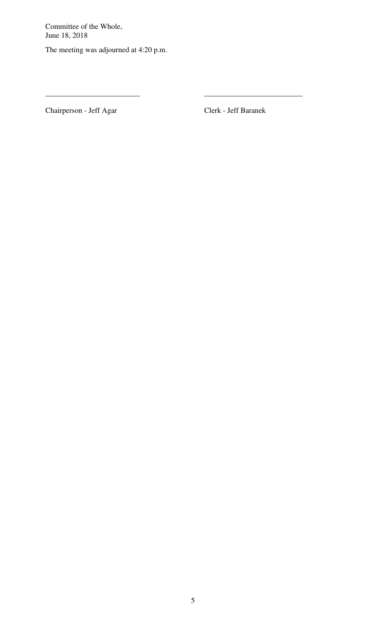The meeting was adjourned at 4:20 p.m.

Chairperson - Jeff Agar Clerk - Jeff Baranek

\_\_\_\_\_\_\_\_\_\_\_\_\_\_\_\_\_\_\_\_\_\_\_\_\_ \_\_\_\_\_\_\_\_\_\_\_\_\_\_\_\_\_\_\_\_\_\_\_\_\_\_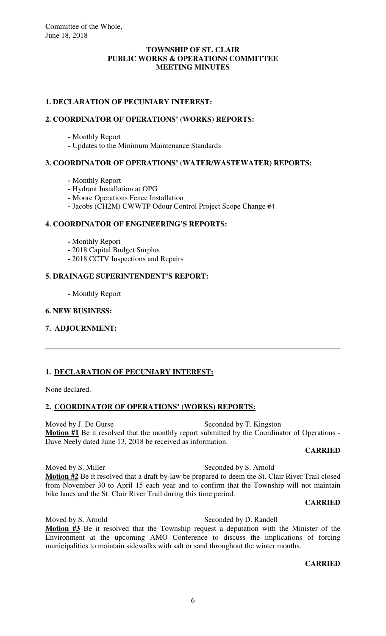# **TOWNSHIP OF ST. CLAIR PUBLIC WORKS & OPERATIONS COMMITTEE MEETING MINUTES**

# **1. DECLARATION OF PECUNIARY INTEREST:**

# **2. COORDINATOR OF OPERATIONS' (WORKS) REPORTS:**

- Monthly Report
- **-** Updates to the Minimum Maintenance Standards

# **3. COORDINATOR OF OPERATIONS' (WATER/WASTEWATER) REPORTS:**

- Monthly Report
- **-** Hydrant Installation at OPG
- **-** Moore Operations Fence Installation
- **-** Jacobs (CH2M) CWWTP Odour Control Project Scope Change #4

# **4. COORDINATOR OF ENGINEERING'S REPORTS:**

- Monthly Report
- **-** 2018 Capital Budget Surplus
- **-** 2018 CCTV Inspections and Repairs

# **5. DRAINAGE SUPERINTENDENT'S REPORT:**

 **-** Monthly Report

# **6. NEW BUSINESS:**

**7. ADJOURNMENT:**

# **1. DECLARATION OF PECUNIARY INTEREST:**

None declared.

# **2. COORDINATOR OF OPERATIONS' (WORKS) REPORTS:**

Moved by J. De Gurse Seconded by T. Kingston **Motion #1** Be it resolved that the monthly report submitted by the Coordinator of Operations - Dave Neely dated June 13, 2018 be received as information.

\_\_\_\_\_\_\_\_\_\_\_\_\_\_\_\_\_\_\_\_\_\_\_\_\_\_\_\_\_\_\_\_\_\_\_\_\_\_\_\_\_\_\_\_\_\_\_\_\_\_\_\_\_\_\_\_\_\_\_\_\_\_\_\_\_\_\_\_\_\_\_\_\_\_\_\_\_\_

# **CARRIED**

Moved by S. Miller Seconded by S. Arnold **Motion #2** Be it resolved that a draft by-law be prepared to deem the St. Clair River Trail closed from November 30 to April 15 each year and to confirm that the Township will not maintain bike lanes and the St. Clair River Trail during this time period.

# **CARRIED**

Moved by S. Arnold Seconded by D. Randell **Motion #3** Be it resolved that the Township request a deputation with the Minister of the Environment at the upcoming AMO Conference to discuss the implications of forcing municipalities to maintain sidewalks with salt or sand throughout the winter months.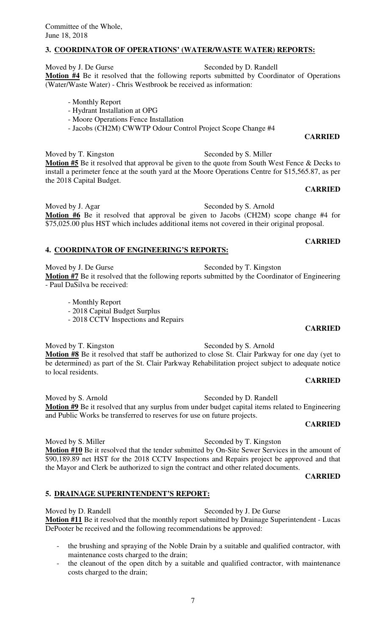# **3. COORDINATOR OF OPERATIONS' (WATER/WASTE WATER) REPORTS:**

Moved by J. De Gurse Seconded by D. Randell **Motion #4** Be it resolved that the following reports submitted by Coordinator of Operations (Water/Waste Water) - Chris Westbrook be received as information:

- Monthly Report
- Hydrant Installation at OPG
- Moore Operations Fence Installation
- Jacobs (CH2M) CWWTP Odour Control Project Scope Change #4

# **CARRIED**

Moved by T. Kingston Seconded by S. Miller **Motion #5** Be it resolved that approval be given to the quote from South West Fence & Decks to install a perimeter fence at the south yard at the Moore Operations Centre for \$15,565.87, as per the 2018 Capital Budget.

#### **CARRIED**

Moved by J. Agar Seconded by S. Arnold **Motion #6** Be it resolved that approval be given to Jacobs (CH2M) scope change #4 for  $\overline{$75,025.00}$  plus HST which includes additional items not covered in their original proposal.

#### **4. COORDINATOR OF ENGINEERING'S REPORTS:**

Moved by J. De Gurse Seconded by T. Kingston **Motion #7** Be it resolved that the following reports submitted by the Coordinator of Engineering - Paul DaSilva be received:

- Monthly Report
- 2018 Capital Budget Surplus
- 2018 CCTV Inspections and Repairs

Moved by T. Kingston Seconded by S. Arnold **Motion #8** Be it resolved that staff be authorized to close St. Clair Parkway for one day (yet to be determined) as part of the St. Clair Parkway Rehabilitation project subject to adequate notice to local residents.

#### **CARRIED**

Moved by S. Arnold Seconded by D. Randell **Motion #9** Be it resolved that any surplus from under budget capital items related to Engineering and Public Works be transferred to reserves for use on future projects.

#### **CARRIED**

Moved by S. Miller Seconded by T. Kingston **Motion #10** Be it resolved that the tender submitted by On-Site Sewer Services in the amount of \$90,189.89 net HST for the 2018 CCTV Inspections and Repairs project be approved and that the Mayor and Clerk be authorized to sign the contract and other related documents.

**CARRIED** 

# **5. DRAINAGE SUPERINTENDENT'S REPORT:**

Moved by D. Randell Seconded by J. De Gurse **Motion #11** Be it resolved that the monthly report submitted by Drainage Superintendent - Lucas DePooter be received and the following recommendations be approved:

- the brushing and spraying of the Noble Drain by a suitable and qualified contractor, with maintenance costs charged to the drain;
- the cleanout of the open ditch by a suitable and qualified contractor, with maintenance costs charged to the drain;

**CARRIED**